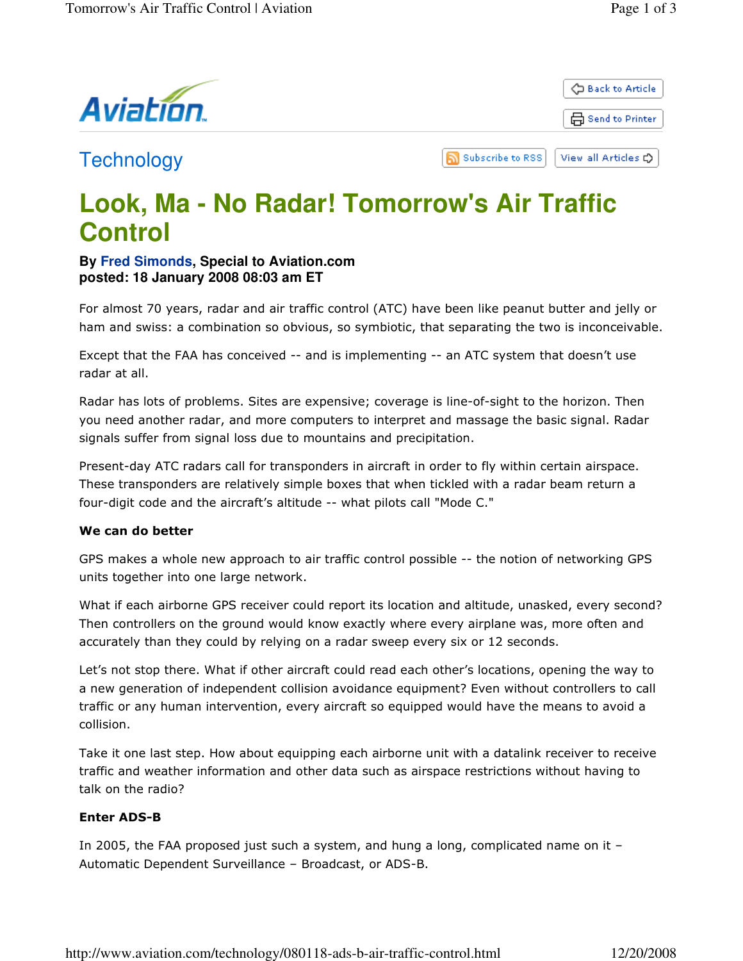← Back to Article

品 Send to Printer



**Technology** 

Subscribe to RSS View all Articles C)

# **Look, Ma - No Radar! Tomorrow's Air Traffic Control**

#### **By Fred Simonds, Special to Aviation.com posted: 18 January 2008 08:03 am ET**

For almost 70 years, radar and air traffic control (ATC) have been like peanut butter and jelly or ham and swiss: a combination so obvious, so symbiotic, that separating the two is inconceivable.

Except that the FAA has conceived -- and is implementing -- an ATC system that doesn't use radar at all.

Radar has lots of problems. Sites are expensive; coverage is line-of-sight to the horizon. Then you need another radar, and more computers to interpret and massage the basic signal. Radar signals suffer from signal loss due to mountains and precipitation.

Present-day ATC radars call for transponders in aircraft in order to fly within certain airspace. These transponders are relatively simple boxes that when tickled with a radar beam return a four-digit code and the aircraft's altitude -- what pilots call "Mode C."

#### We can do better

GPS makes a whole new approach to air traffic control possible -- the notion of networking GPS units together into one large network.

What if each airborne GPS receiver could report its location and altitude, unasked, every second? Then controllers on the ground would know exactly where every airplane was, more often and accurately than they could by relying on a radar sweep every six or 12 seconds.

Let's not stop there. What if other aircraft could read each other's locations, opening the way to a new generation of independent collision avoidance equipment? Even without controllers to call traffic or any human intervention, every aircraft so equipped would have the means to avoid a collision.

Take it one last step. How about equipping each airborne unit with a datalink receiver to receive traffic and weather information and other data such as airspace restrictions without having to talk on the radio?

## Enter ADS-B

In 2005, the FAA proposed just such a system, and hung a long, complicated name on it – Automatic Dependent Surveillance – Broadcast, or ADS-B.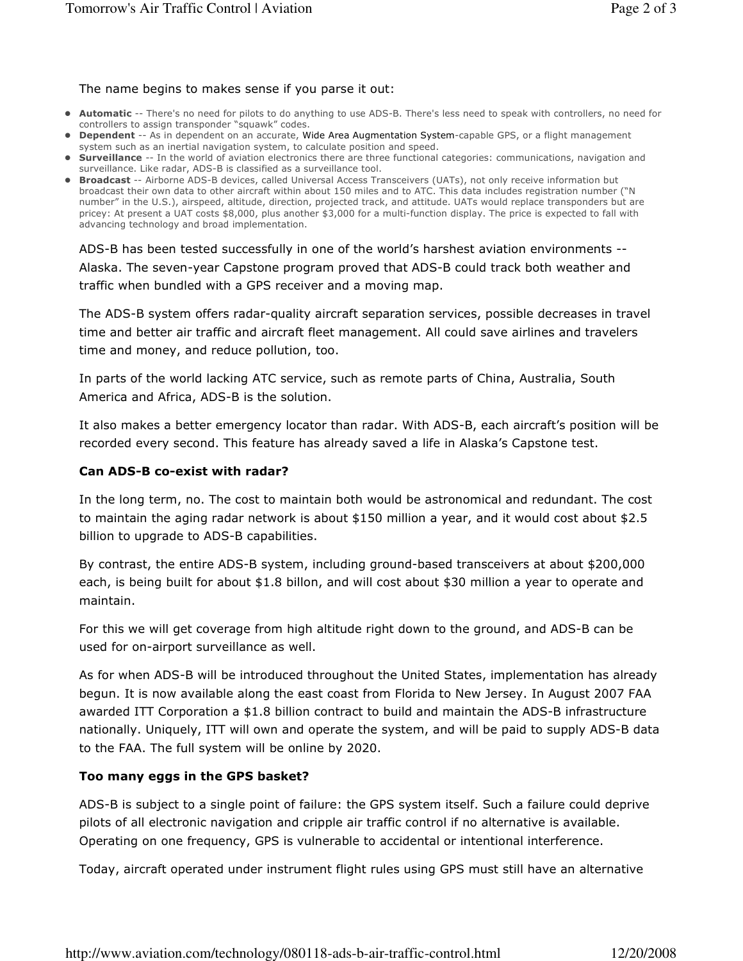#### The name begins to makes sense if you parse it out:

- Automatic -- There's no need for pilots to do anything to use ADS-B. There's less need to speak with controllers, no need for controllers to assign transponder "squawk" codes.
- **Dependent** -- As in dependent on an accurate, Wide Area Augmentation System-capable GPS, or a flight management system such as an inertial navigation system, to calculate position and speed.
- **Surveillance** -- In the world of aviation electronics there are three functional categories: communications, navigation and surveillance. Like radar, ADS-B is classified as a surveillance tool.
- **Broadcast** -- Airborne ADS-B devices, called Universal Access Transceivers (UATs), not only receive information but broadcast their own data to other aircraft within about 150 miles and to ATC. This data includes registration number ("N number" in the U.S.), airspeed, altitude, direction, projected track, and attitude. UATs would replace transponders but are pricey: At present a UAT costs \$8,000, plus another \$3,000 for a multi-function display. The price is expected to fall with advancing technology and broad implementation.

ADS-B has been tested successfully in one of the world's harshest aviation environments -- Alaska. The seven-year Capstone program proved that ADS-B could track both weather and traffic when bundled with a GPS receiver and a moving map.

The ADS-B system offers radar-quality aircraft separation services, possible decreases in travel time and better air traffic and aircraft fleet management. All could save airlines and travelers time and money, and reduce pollution, too.

In parts of the world lacking ATC service, such as remote parts of China, Australia, South America and Africa, ADS-B is the solution.

It also makes a better emergency locator than radar. With ADS-B, each aircraft's position will be recorded every second. This feature has already saved a life in Alaska's Capstone test.

## Can ADS-B co-exist with radar?

In the long term, no. The cost to maintain both would be astronomical and redundant. The cost to maintain the aging radar network is about \$150 million a year, and it would cost about \$2.5 billion to upgrade to ADS-B capabilities.

By contrast, the entire ADS-B system, including ground-based transceivers at about \$200,000 each, is being built for about \$1.8 billon, and will cost about \$30 million a year to operate and maintain.

For this we will get coverage from high altitude right down to the ground, and ADS-B can be used for on-airport surveillance as well.

As for when ADS-B will be introduced throughout the United States, implementation has already begun. It is now available along the east coast from Florida to New Jersey. In August 2007 FAA awarded ITT Corporation a \$1.8 billion contract to build and maintain the ADS-B infrastructure nationally. Uniquely, ITT will own and operate the system, and will be paid to supply ADS-B data to the FAA. The full system will be online by 2020.

## Too many eggs in the GPS basket?

ADS-B is subject to a single point of failure: the GPS system itself. Such a failure could deprive pilots of all electronic navigation and cripple air traffic control if no alternative is available. Operating on one frequency, GPS is vulnerable to accidental or intentional interference.

Today, aircraft operated under instrument flight rules using GPS must still have an alternative